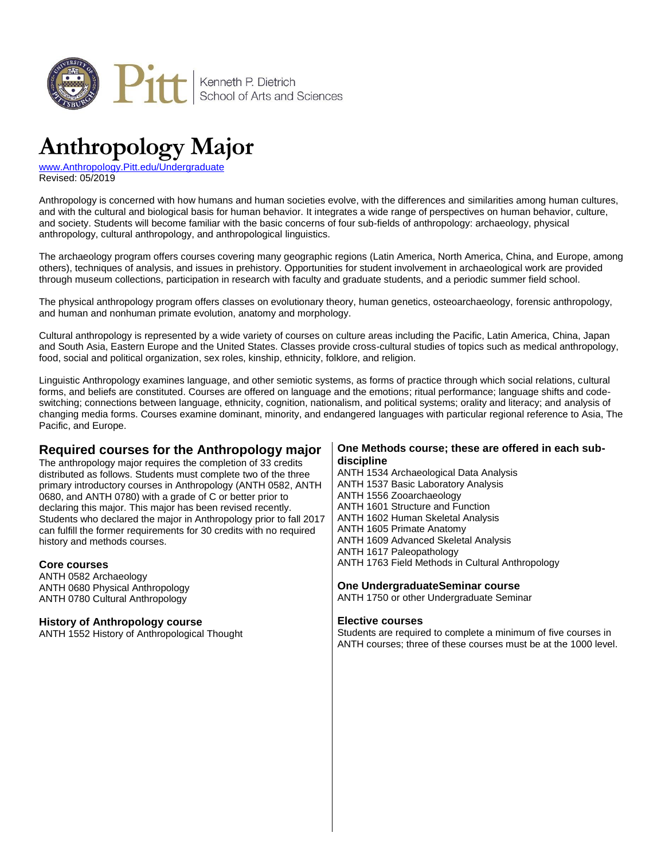

# **Anthropology Major**

[www.Anthropology.Pitt.edu/Undergraduate](http://www.anthropology.pitt.edu/undergraduate) Revised: 05/2019

Anthropology is concerned with how humans and human societies evolve, with the differences and similarities among human cultures, and with the cultural and biological basis for human behavior. It integrates a wide range of perspectives on human behavior, culture, and society. Students will become familiar with the basic concerns of four sub-fields of anthropology: archaeology, physical anthropology, cultural anthropology, and anthropological linguistics.

The archaeology program offers courses covering many geographic regions (Latin America, North America, China, and Europe, among others), techniques of analysis, and issues in prehistory. Opportunities for student involvement in archaeological work are provided through museum collections, participation in research with faculty and graduate students, and a periodic summer field school.

The physical anthropology program offers classes on evolutionary theory, human genetics, osteoarchaeology, forensic anthropology, and human and nonhuman primate evolution, anatomy and morphology.

Cultural anthropology is represented by a wide variety of courses on culture areas including the Pacific, Latin America, China, Japan and South Asia, Eastern Europe and the United States. Classes provide cross-cultural studies of topics such as medical anthropology, food, social and political organization, sex roles, kinship, ethnicity, folklore, and religion.

Linguistic Anthropology examines language, and other semiotic systems, as forms of practice through which social relations, cultural forms, and beliefs are constituted. Courses are offered on language and the emotions; ritual performance; language shifts and codeswitching; connections between language, ethnicity, cognition, nationalism, and political systems; orality and literacy; and analysis of changing media forms. Courses examine dominant, minority, and endangered languages with particular regional reference to Asia, The Pacific, and Europe.

# **Required courses for the Anthropology major**

The anthropology major requires the completion of 33 credits distributed as follows. Students must complete two of the three primary introductory courses in Anthropology (ANTH 0582, ANTH 0680, and ANTH 0780) with a grade of C or better prior to declaring this major. This major has been revised recently. Students who declared the major in Anthropology prior to fall 2017 can fulfill the former requirements for 30 credits with no required history and methods courses.

#### **Core courses**

ANTH 0582 Archaeology ANTH 0680 Physical Anthropology ANTH 0780 Cultural Anthropology

#### **History of Anthropology course**

ANTH 1552 History of Anthropological Thought

#### **One Methods course; these are offered in each subdiscipline**

ANTH 1534 Archaeological Data Analysis ANTH 1537 Basic Laboratory Analysis ANTH 1556 Zooarchaeology ANTH 1601 Structure and Function ANTH 1602 Human Skeletal Analysis ANTH 1605 Primate Anatomy ANTH 1609 Advanced Skeletal Analysis ANTH 1617 Paleopathology ANTH 1763 Field Methods in Cultural Anthropology

### **One UndergraduateSeminar course**

ANTH 1750 or other Undergraduate Seminar

#### **Elective courses**

Students are required to complete a minimum of five courses in ANTH courses; three of these courses must be at the 1000 level.